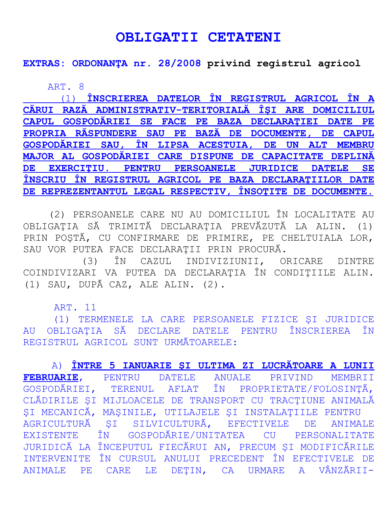## **OBLIGATII CETATENI**

**EXTRAS: ORDONANŢA nr. 28/2008 privind registrul agricol**

ART. 8

(1) **ÎNSCRIEREA DATELOR ÎN REGISTRUL AGRICOL ÎN A CĂRUI RAZĂ ADMINISTRATIV-TERITORIALĂ ÎŞI ARE DOMICILIUL CAPUL GOSPODĂRIEI SE FACE PE BAZA DECLARAŢIEI DATE PE PROPRIA RĂSPUNDERE SAU PE BAZĂ DE DOCUMENTE, DE CAPUL GOSPODĂRIEI SAU, ÎN LIPSA ACESTUIA, DE UN ALT MEMBRU MAJOR AL GOSPODĂRIEI CARE DISPUNE DE CAPACITATE DEPLINĂ DE EXERCIŢIU. PENTRU PERSOANELE JURIDICE DATELE SE ÎNSCRIU ÎN REGISTRUL AGRICOL PE BAZA DECLARAŢIILOR DATE DE REPREZENTANTUL LEGAL RESPECTIV, ÎNSOŢITE DE DOCUMENTE.**

 (2) PERSOANELE CARE NU AU DOMICILIUL ÎN LOCALITATE AU OBLIGAŢIA SĂ TRIMITĂ DECLARAŢIA PREVĂZUTĂ LA ALIN. (1) PRIN POŞTĂ, CU CONFIRMARE DE PRIMIRE, PE CHELTUIALA LOR, SAU VOR PUTEA FACE DECLARAŢII PRIN PROCURĂ.

 (3) ÎN CAZUL INDIVIZIUNII, ORICARE DINTRE COINDIVIZARI VA PUTEA DA DECLARAŢIA ÎN CONDIŢIILE ALIN. (1) SAU, DUPĂ CAZ, ALE ALIN. (2).

ART. 11

 (1) TERMENELE LA CARE PERSOANELE FIZICE ŞI JURIDICE AU OBLIGAŢIA SĂ DECLARE DATELE PENTRU ÎNSCRIEREA ÎN REGISTRUL AGRICOL SUNT URMĂTOARELE:

 A) **ÎNTRE 5 IANUARIE ŞI ULTIMA ZI LUCRĂTOARE A LUNII FEBRUARIE**, PENTRU DATELE ANUALE PRIVIND MEMBRII GOSPODĂRIEI, TERENUL AFLAT ÎN PROPRIETATE/FOLOSINŢĂ, CLĂDIRILE ŞI MIJLOACELE DE TRANSPORT CU TRACŢIUNE ANIMALĂ ŞI MECANICĂ, MAŞINILE, UTILAJELE ŞI INSTALAŢIILE PENTRU AGRICULTURĂ ŞI SILVICULTURĂ, EFECTIVELE DE ANIMALE EXISTENTE ÎN GOSPODĂRIE/UNITATEA CU PERSONALITATE JURIDICĂ LA ÎNCEPUTUL FIECĂRUI AN, PRECUM ŞI MODIFICĂRILE INTERVENITE ÎN CURSUL ANULUI PRECEDENT ÎN EFECTIVELE DE ANIMALE PE CARE LE DEŢIN, CA URMARE A VÂNZĂRII-